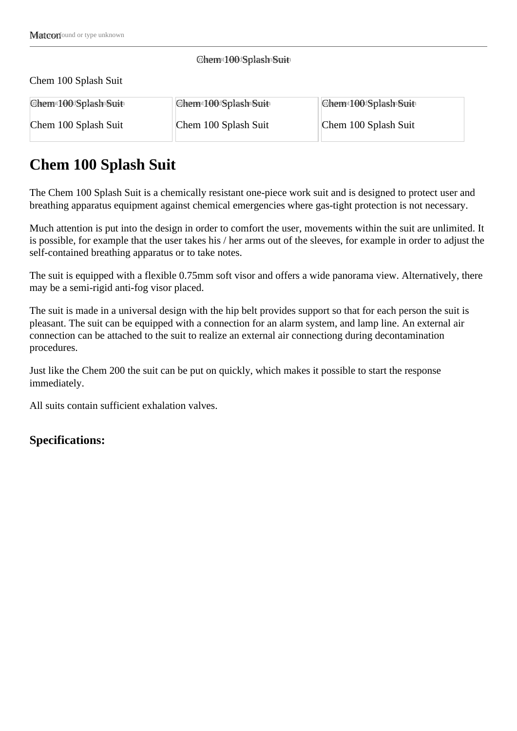#### Chem t00 Splash Suit

Chem 100 Splash Suit

| Chem <sup>t</sup> f00dSplash=Suit | Chem t00 Splash Suit | Chem <sup>t</sup> f00dSplash=Suit |
|-----------------------------------|----------------------|-----------------------------------|
| Chem 100 Splash Suit              | Chem 100 Splash Suit | Chem 100 Splash Suit              |

# **Chem 100 Splash Suit**

The Chem 100 Splash Suit is a chemically resistant one-piece work suit and is designed to protect user and breathing apparatus equipment against chemical emergencies where gas-tight protection is not necessary.

Much attention is put into the design in order to comfort the user, movements within the suit are unlimited. It is possible, for example that the user takes his / her arms out of the sleeves, for example in order to adjust the self-contained breathing apparatus or to take notes.

The suit is equipped with a flexible 0.75mm soft visor and offers a wide panorama view. Alternatively, there may be a semi-rigid anti-fog visor placed.

The suit is made in a universal design with the hip belt provides support so that for each person the suit is pleasant. The suit can be equipped with a connection for an alarm system, and lamp line. An external air connection can be attached to the suit to realize an external air connectiong during decontamination procedures.

Just like the Chem 200 the suit can be put on quickly, which makes it possible to start the response immediately.

All suits contain sufficient exhalation valves.

## **Specifications:**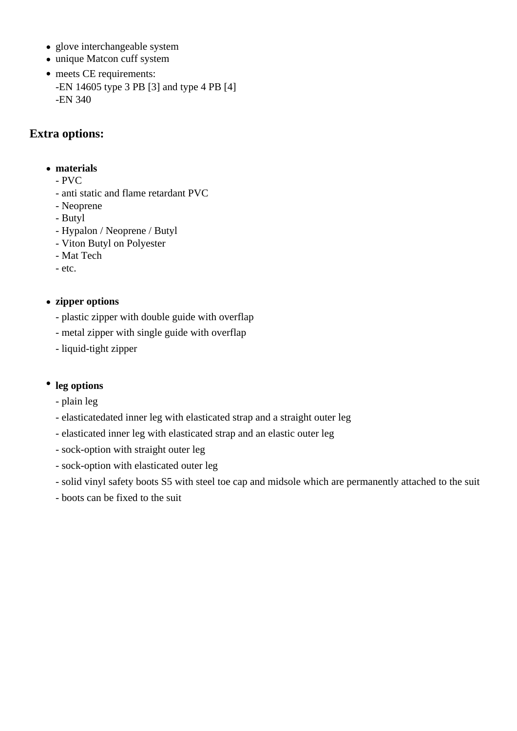- glove interchangeable system
- unique Matcon cuff system
- meets CE requirements: -EN 14605 type 3 PB [3] and type 4 PB [4] -EN 340

## **Extra options:**

#### **materials**

- PVC
- anti static and flame retardant PVC
- Neoprene
- Butyl
- Hypalon / Neoprene / Butyl
- Viton Butyl on Polyester
- Mat Tech
- etc.

#### **zipper options**

- plastic zipper with double guide with overflap
- metal zipper with single guide with overflap
- liquid-tight zipper

### **leg options**

- plain leg
- elasticatedated inner leg with elasticated strap and a straight outer leg
- elasticated inner leg with elasticated strap and an elastic outer leg
- sock-option with straight outer leg
- sock-option with elasticated outer leg
- solid vinyl safety boots S5 with steel toe cap and midsole which are permanently attached to the suit
- boots can be fixed to the suit